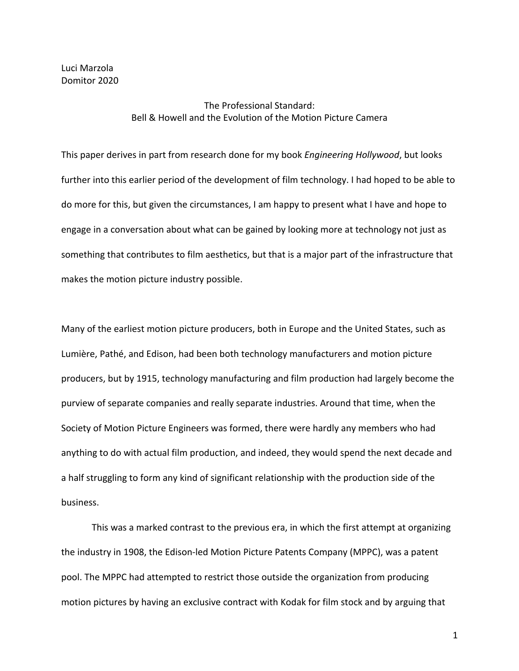Luci Marzola Domitor 2020

# The Professional Standard: Bell & Howell and the Evolution of the Motion Picture Camera

This paper derives in part from research done for my book *Engineering Hollywood*, but looks further into this earlier period of the development of film technology. I had hoped to be able to do more for this, but given the circumstances, I am happy to present what I have and hope to engage in a conversation about what can be gained by looking more at technology not just as something that contributes to film aesthetics, but that is a major part of the infrastructure that makes the motion picture industry possible.

Many of the earliest motion picture producers, both in Europe and the United States, such as Lumière, Pathé, and Edison, had been both technology manufacturers and motion picture producers, but by 1915, technology manufacturing and film production had largely become the purview of separate companies and really separate industries. Around that time, when the Society of Motion Picture Engineers was formed, there were hardly any members who had anything to do with actual film production, and indeed, they would spend the next decade and a half struggling to form any kind of significant relationship with the production side of the business.

This was a marked contrast to the previous era, in which the first attempt at organizing the industry in 1908, the Edison-led Motion Picture Patents Company (MPPC), was a patent pool. The MPPC had attempted to restrict those outside the organization from producing motion pictures by having an exclusive contract with Kodak for film stock and by arguing that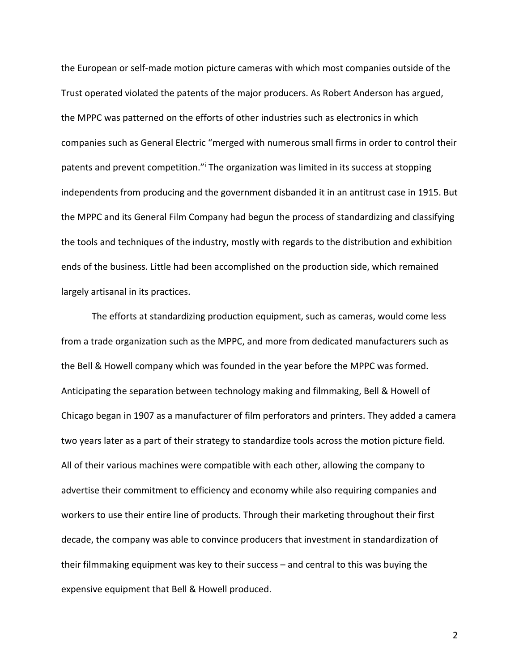the European or self-made motion picture cameras with which most companies outside of the Trust operated violated the patents of the major producers. As Robert Anderson has argued, the MPPC was patterned on the efforts of other industries such as electronics in which companies such as General Electric "merged with numerous small firms in order to control their patents and prevent competition."i The organization was limited in its success at stopping independents from producing and the government disbanded it in an antitrust case in 1915. But the MPPC and its General Film Company had begun the process of standardizing and classifying the tools and techniques of the industry, mostly with regards to the distribution and exhibition ends of the business. Little had been accomplished on the production side, which remained largely artisanal in its practices.

The efforts at standardizing production equipment, such as cameras, would come less from a trade organization such as the MPPC, and more from dedicated manufacturers such as the Bell & Howell company which was founded in the year before the MPPC was formed. Anticipating the separation between technology making and filmmaking, Bell & Howell of Chicago began in 1907 as a manufacturer of film perforators and printers. They added a camera two years later as a part of their strategy to standardize tools across the motion picture field. All of their various machines were compatible with each other, allowing the company to advertise their commitment to efficiency and economy while also requiring companies and workers to use their entire line of products. Through their marketing throughout their first decade, the company was able to convince producers that investment in standardization of their filmmaking equipment was key to their success – and central to this was buying the expensive equipment that Bell & Howell produced.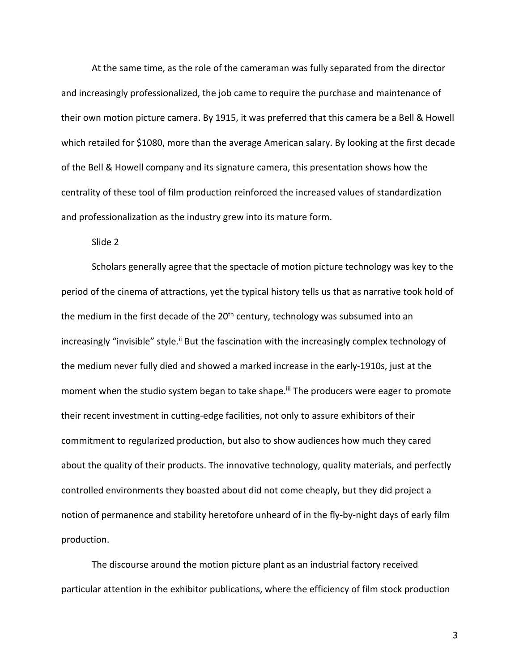At the same time, as the role of the cameraman was fully separated from the director and increasingly professionalized, the job came to require the purchase and maintenance of their own motion picture camera. By 1915, it was preferred that this camera be a Bell & Howell which retailed for \$1080, more than the average American salary. By looking at the first decade of the Bell & Howell company and its signature camera, this presentation shows how the centrality of these tool of film production reinforced the increased values of standardization and professionalization as the industry grew into its mature form.

Slide 2

Scholars generally agree that the spectacle of motion picture technology was key to the period of the cinema of attractions, yet the typical history tells us that as narrative took hold of the medium in the first decade of the  $20<sup>th</sup>$  century, technology was subsumed into an increasingly "invisible" style.<sup>ii</sup> But the fascination with the increasingly complex technology of the medium never fully died and showed a marked increase in the early-1910s, just at the moment when the studio system began to take shape.<sup>iii</sup> The producers were eager to promote their recent investment in cutting-edge facilities, not only to assure exhibitors of their commitment to regularized production, but also to show audiences how much they cared about the quality of their products. The innovative technology, quality materials, and perfectly controlled environments they boasted about did not come cheaply, but they did project a notion of permanence and stability heretofore unheard of in the fly-by-night days of early film production.

The discourse around the motion picture plant as an industrial factory received particular attention in the exhibitor publications, where the efficiency of film stock production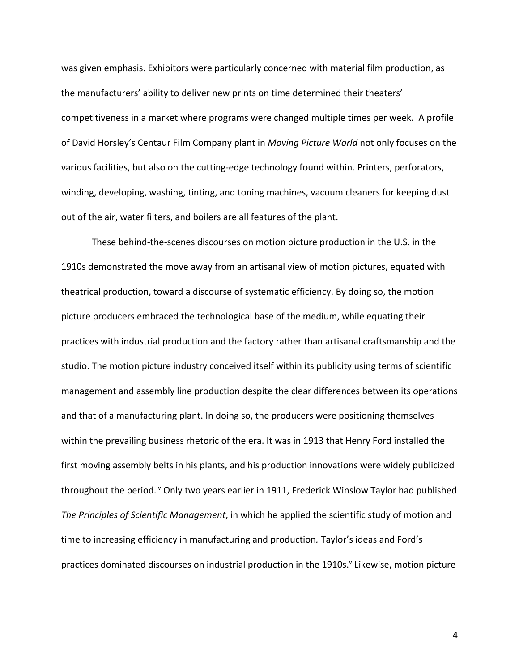was given emphasis. Exhibitors were particularly concerned with material film production, as the manufacturers' ability to deliver new prints on time determined their theaters' competitiveness in a market where programs were changed multiple times per week. A profile of David Horsley's Centaur Film Company plant in *Moving Picture World* not only focuses on the various facilities, but also on the cutting-edge technology found within. Printers, perforators, winding, developing, washing, tinting, and toning machines, vacuum cleaners for keeping dust out of the air, water filters, and boilers are all features of the plant.

These behind-the-scenes discourses on motion picture production in the U.S. in the 1910s demonstrated the move away from an artisanal view of motion pictures, equated with theatrical production, toward a discourse of systematic efficiency. By doing so, the motion picture producers embraced the technological base of the medium, while equating their practices with industrial production and the factory rather than artisanal craftsmanship and the studio. The motion picture industry conceived itself within its publicity using terms of scientific management and assembly line production despite the clear differences between its operations and that of a manufacturing plant. In doing so, the producers were positioning themselves within the prevailing business rhetoric of the era. It was in 1913 that Henry Ford installed the first moving assembly belts in his plants, and his production innovations were widely publicized throughout the period.<sup>iv</sup> Only two years earlier in 1911, Frederick Winslow Taylor had published *The Principles of Scientific Management*, in which he applied the scientific study of motion and time to increasing efficiency in manufacturing and production*.* Taylor's ideas and Ford's practices dominated discourses on industrial production in the 1910s.<sup>V</sup> Likewise, motion picture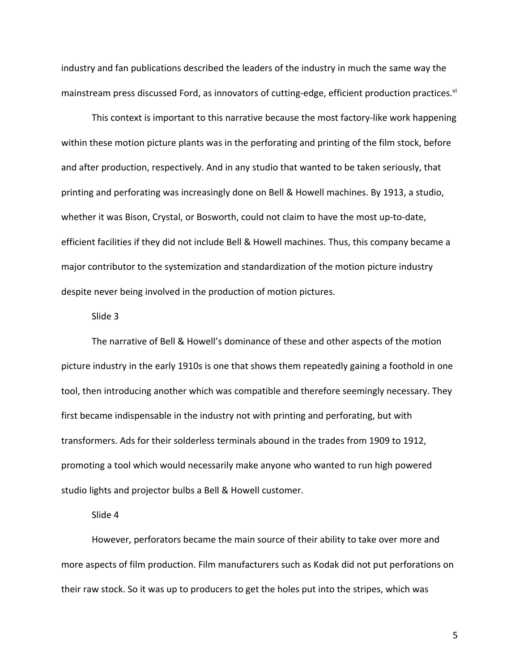industry and fan publications described the leaders of the industry in much the same way the mainstream press discussed Ford, as innovators of cutting-edge, efficient production practices.<sup>vi</sup>

This context is important to this narrative because the most factory-like work happening within these motion picture plants was in the perforating and printing of the film stock, before and after production, respectively. And in any studio that wanted to be taken seriously, that printing and perforating was increasingly done on Bell & Howell machines. By 1913, a studio, whether it was Bison, Crystal, or Bosworth, could not claim to have the most up-to-date, efficient facilities if they did not include Bell & Howell machines. Thus, this company became a major contributor to the systemization and standardization of the motion picture industry despite never being involved in the production of motion pictures.

### Slide 3

The narrative of Bell & Howell's dominance of these and other aspects of the motion picture industry in the early 1910s is one that shows them repeatedly gaining a foothold in one tool, then introducing another which was compatible and therefore seemingly necessary. They first became indispensable in the industry not with printing and perforating, but with transformers. Ads for their solderless terminals abound in the trades from 1909 to 1912, promoting a tool which would necessarily make anyone who wanted to run high powered studio lights and projector bulbs a Bell & Howell customer.

#### Slide 4

However, perforators became the main source of their ability to take over more and more aspects of film production. Film manufacturers such as Kodak did not put perforations on their raw stock. So it was up to producers to get the holes put into the stripes, which was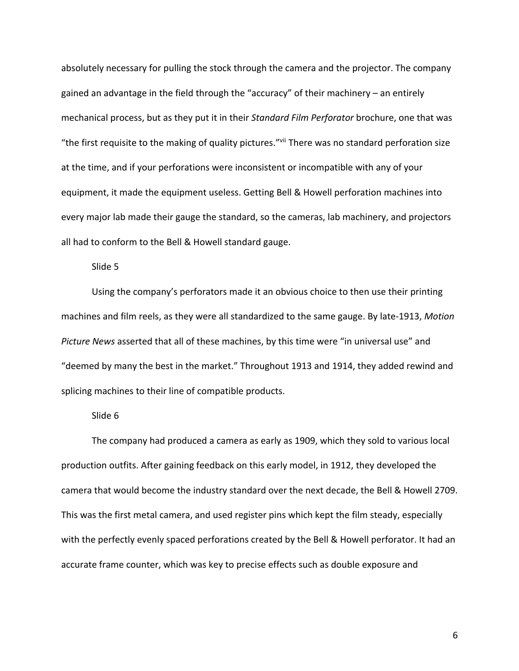absolutely necessary for pulling the stock through the camera and the projector. The company gained an advantage in the field through the "accuracy" of their machinery – an entirely mechanical process, but as they put it in their *Standard Film Perforator* brochure, one that was "the first requisite to the making of quality pictures."vii There was no standard perforation size at the time, and if your perforations were inconsistent or incompatible with any of your equipment, it made the equipment useless. Getting Bell & Howell perforation machines into every major lab made their gauge the standard, so the cameras, lab machinery, and projectors all had to conform to the Bell & Howell standard gauge.

## Slide 5

Using the company's perforators made it an obvious choice to then use their printing machines and film reels, as they were all standardized to the same gauge. By late-1913, *Motion Picture News* asserted that all of these machines, by this time were "in universal use" and "deemed by many the best in the market." Throughout 1913 and 1914, they added rewind and splicing machines to their line of compatible products.

#### Slide 6

The company had produced a camera as early as 1909, which they sold to various local production outfits. After gaining feedback on this early model, in 1912, they developed the camera that would become the industry standard over the next decade, the Bell & Howell 2709. This was the first metal camera, and used register pins which kept the film steady, especially with the perfectly evenly spaced perforations created by the Bell & Howell perforator. It had an accurate frame counter, which was key to precise effects such as double exposure and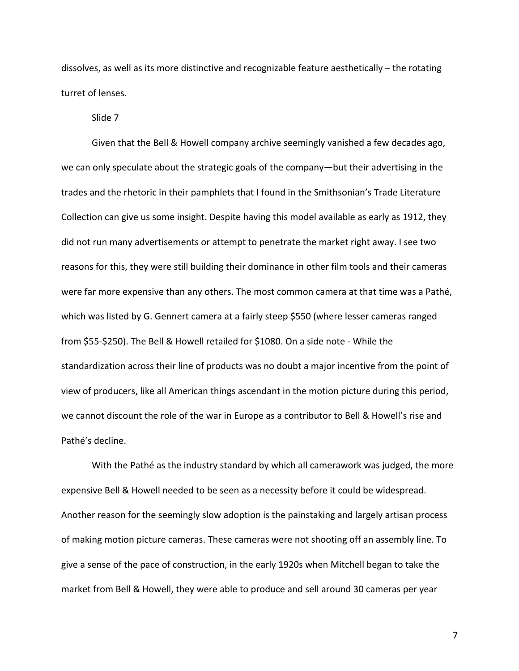dissolves, as well as its more distinctive and recognizable feature aesthetically – the rotating turret of lenses.

Slide 7

Given that the Bell & Howell company archive seemingly vanished a few decades ago, we can only speculate about the strategic goals of the company—but their advertising in the trades and the rhetoric in their pamphlets that I found in the Smithsonian's Trade Literature Collection can give us some insight. Despite having this model available as early as 1912, they did not run many advertisements or attempt to penetrate the market right away. I see two reasons for this, they were still building their dominance in other film tools and their cameras were far more expensive than any others. The most common camera at that time was a Pathé, which was listed by G. Gennert camera at a fairly steep \$550 (where lesser cameras ranged from \$55-\$250). The Bell & Howell retailed for \$1080. On a side note - While the standardization across their line of products was no doubt a major incentive from the point of view of producers, like all American things ascendant in the motion picture during this period, we cannot discount the role of the war in Europe as a contributor to Bell & Howell's rise and Pathé's decline.

With the Pathé as the industry standard by which all camerawork was judged, the more expensive Bell & Howell needed to be seen as a necessity before it could be widespread. Another reason for the seemingly slow adoption is the painstaking and largely artisan process of making motion picture cameras. These cameras were not shooting off an assembly line. To give a sense of the pace of construction, in the early 1920s when Mitchell began to take the market from Bell & Howell, they were able to produce and sell around 30 cameras per year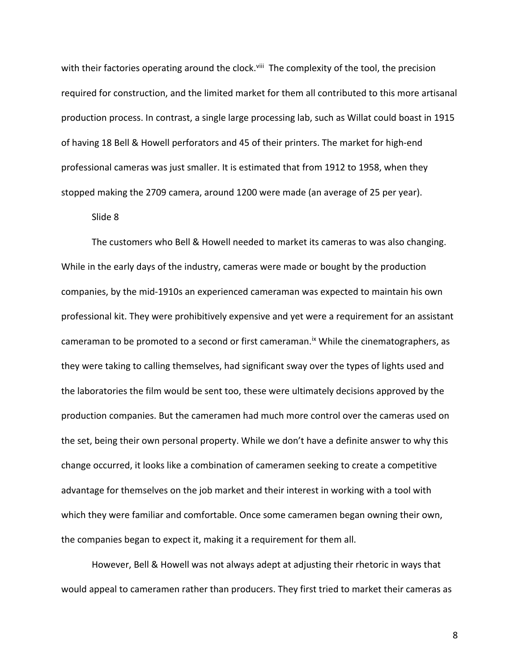with their factories operating around the clock.<sup>viii</sup> The complexity of the tool, the precision required for construction, and the limited market for them all contributed to this more artisanal production process. In contrast, a single large processing lab, such as Willat could boast in 1915 of having 18 Bell & Howell perforators and 45 of their printers. The market for high-end professional cameras was just smaller. It is estimated that from 1912 to 1958, when they stopped making the 2709 camera, around 1200 were made (an average of 25 per year).

#### Slide 8

The customers who Bell & Howell needed to market its cameras to was also changing. While in the early days of the industry, cameras were made or bought by the production companies, by the mid-1910s an experienced cameraman was expected to maintain his own professional kit. They were prohibitively expensive and yet were a requirement for an assistant cameraman to be promoted to a second or first cameraman.<sup>ix</sup> While the cinematographers, as they were taking to calling themselves, had significant sway over the types of lights used and the laboratories the film would be sent too, these were ultimately decisions approved by the production companies. But the cameramen had much more control over the cameras used on the set, being their own personal property. While we don't have a definite answer to why this change occurred, it looks like a combination of cameramen seeking to create a competitive advantage for themselves on the job market and their interest in working with a tool with which they were familiar and comfortable. Once some cameramen began owning their own, the companies began to expect it, making it a requirement for them all.

However, Bell & Howell was not always adept at adjusting their rhetoric in ways that would appeal to cameramen rather than producers. They first tried to market their cameras as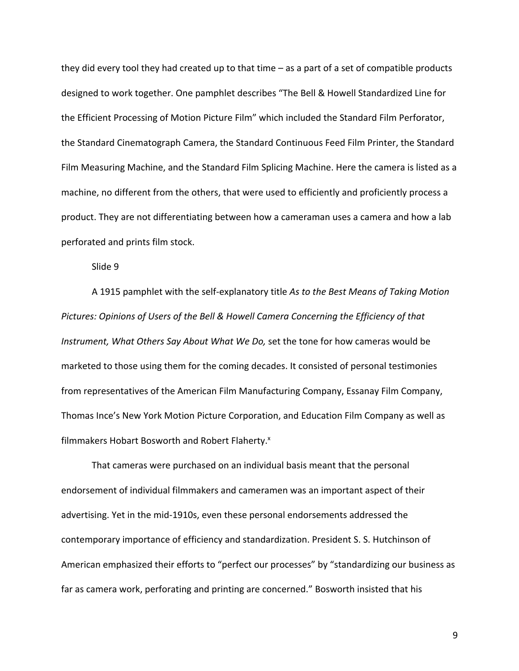they did every tool they had created up to that time – as a part of a set of compatible products designed to work together. One pamphlet describes "The Bell & Howell Standardized Line for the Efficient Processing of Motion Picture Film" which included the Standard Film Perforator, the Standard Cinematograph Camera, the Standard Continuous Feed Film Printer, the Standard Film Measuring Machine, and the Standard Film Splicing Machine. Here the camera is listed as a machine, no different from the others, that were used to efficiently and proficiently process a product. They are not differentiating between how a cameraman uses a camera and how a lab perforated and prints film stock.

Slide 9

A 1915 pamphlet with the self-explanatory title *As to the Best Means of Taking Motion Pictures: Opinions of Users of the Bell & Howell Camera Concerning the Efficiency of that Instrument, What Others Say About What We Do,* set the tone for how cameras would be marketed to those using them for the coming decades. It consisted of personal testimonies from representatives of the American Film Manufacturing Company, Essanay Film Company, Thomas Ince's New York Motion Picture Corporation, and Education Film Company as well as filmmakers Hobart Bosworth and Robert Flaherty.<sup>x</sup>

That cameras were purchased on an individual basis meant that the personal endorsement of individual filmmakers and cameramen was an important aspect of their advertising. Yet in the mid-1910s, even these personal endorsements addressed the contemporary importance of efficiency and standardization. President S. S. Hutchinson of American emphasized their efforts to "perfect our processes" by "standardizing our business as far as camera work, perforating and printing are concerned." Bosworth insisted that his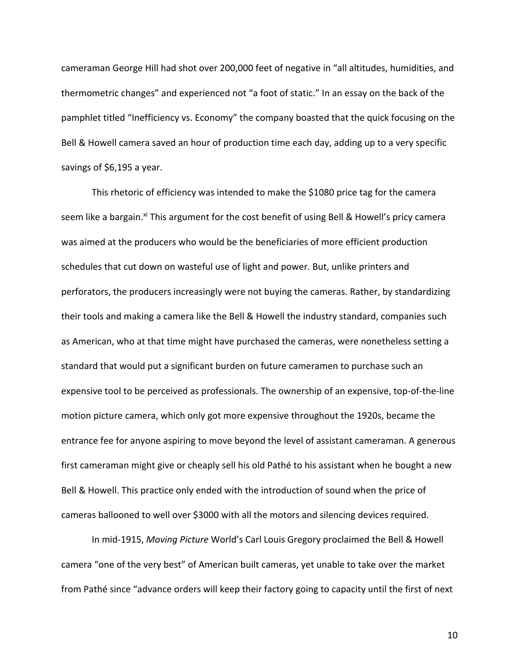cameraman George Hill had shot over 200,000 feet of negative in "all altitudes, humidities, and thermometric changes" and experienced not "a foot of static." In an essay on the back of the pamphlet titled "Inefficiency vs. Economy" the company boasted that the quick focusing on the Bell & Howell camera saved an hour of production time each day, adding up to a very specific savings of \$6,195 a year.

This rhetoric of efficiency was intended to make the \$1080 price tag for the camera seem like a bargain.<sup>xi</sup> This argument for the cost benefit of using Bell & Howell's pricy camera was aimed at the producers who would be the beneficiaries of more efficient production schedules that cut down on wasteful use of light and power. But, unlike printers and perforators, the producers increasingly were not buying the cameras. Rather, by standardizing their tools and making a camera like the Bell & Howell the industry standard, companies such as American, who at that time might have purchased the cameras, were nonetheless setting a standard that would put a significant burden on future cameramen to purchase such an expensive tool to be perceived as professionals. The ownership of an expensive, top-of-the-line motion picture camera, which only got more expensive throughout the 1920s, became the entrance fee for anyone aspiring to move beyond the level of assistant cameraman. A generous first cameraman might give or cheaply sell his old Pathé to his assistant when he bought a new Bell & Howell. This practice only ended with the introduction of sound when the price of cameras ballooned to well over \$3000 with all the motors and silencing devices required.

In mid-1915, *Moving Picture* World's Carl Louis Gregory proclaimed the Bell & Howell camera "one of the very best" of American built cameras, yet unable to take over the market from Pathé since "advance orders will keep their factory going to capacity until the first of next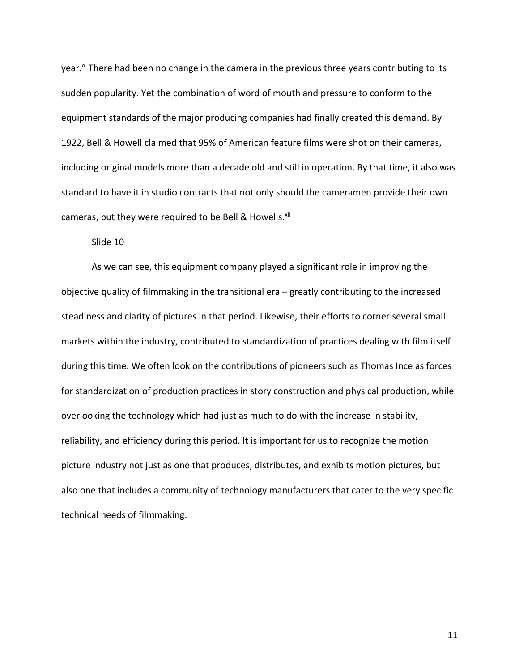year." There had been no change in the camera in the previous three years contributing to its sudden popularity. Yet the combination of word of mouth and pressure to conform to the equipment standards of the major producing companies had finally created this demand. By 1922, Bell & Howell claimed that 95% of American feature films were shot on their cameras, including original models more than a decade old and still in operation. By that time, it also was standard to have it in studio contracts that not only should the cameramen provide their own cameras, but they were required to be Bell & Howells.<sup>xii</sup>

## Slide 10

As we can see, this equipment company played a significant role in improving the objective quality of filmmaking in the transitional era – greatly contributing to the increased steadiness and clarity of pictures in that period. Likewise, their efforts to corner several small markets within the industry, contributed to standardization of practices dealing with film itself during this time. We often look on the contributions of pioneers such as Thomas Ince as forces for standardization of production practices in story construction and physical production, while overlooking the technology which had just as much to do with the increase in stability, reliability, and efficiency during this period. It is important for us to recognize the motion picture industry not just as one that produces, distributes, and exhibits motion pictures, but also one that includes a community of technology manufacturers that cater to the very specific technical needs of filmmaking.